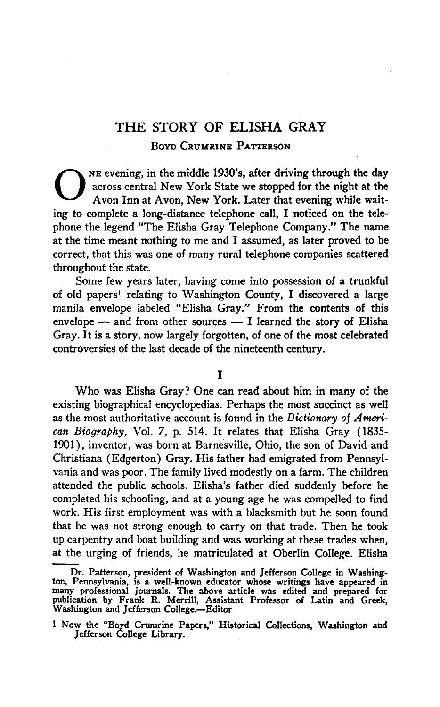## THE STORY OF ELISHA GRAY Boyd Crumrine Patterson

ONE evening, in the middle 1930's, after driving through the day across central New York State we stopped for the night at the Avon Inn at Avon, New York. Later that evening while waitacross central New York State we stopped for the night at the Avon Inn at Avon, New York. Later that evening while wait-WE evening, in the middle 1930's, after driving through the day<br>across central New York State we stopped for the night at the<br>Avon Inn at Avon, New York. Later that evening while wait-<br>ing to complete a long-distance telep phone the legend "The Elisha Gray Telephone Company." The name at the time meant nothing to me and I assumed, as later proved to be correct, that this was one of many rural telephone companies scattered throughout the state.

Some few years later, having come into possession of a trunkful of old papers<sup>1</sup> relating to Washington County, I discovered a large correct, that this was one of many rural telephone companies scattered<br>throughout the state.<br>forme few years later, having come into possession of a trunkful<br>of old papers<sup>1</sup> relating to Washington County, I discovered a l Some lew years later, having come mo possession of a trunkium<br>of old papers<sup>1</sup> relating to Washington County, I discovered a large<br>manila envelope labeled "Elisha Gray." From the contents of this<br>envelope — and from other envelope  $-$  and from other sources  $-$  I learned the story of Elisha Gray. It is a story, now largely forgotten, of one of the most celebrated controversies of the last decade of the nineteenth century. gotte<br>the 1<br>I

Who was Elisha Gray? One can read about him in many of the existing biographical encyclopedias. Perhaps the most succinct as well as the most authoritative account is found in the Dictionary of American Biography, Vol. 7, p. 514. It relates that Elisha Gray (1835-1901), inventor, was born at Barnesville, Ohio, the son of David and Christiana (Edgerton) Gray. Hisfather had emigrated from Pennsylvania and was poor. The family lived modestly on a farm. The children attended the public schools. Elisha's father died suddenly before he completed his schooling, and at a young age he was compelled to find work. His first employment was with a blacksmith but he soon found that he was not strong enough to carry on that trade. Then he took up carpentry and boat building and was working at these trades when, at the urging of friends, he matriculated at Oberlin College. Elisha

Dr. Patterson, president of Washington and Jefferson College in Washington, Pennsylvania, is a well-known educator whose writings have appeared in many professional journals. The above article was edited and prepared for publication by Frank R. Merrill, Assistant Professor of Latin and Greek, Washington and Jefferson College.—Editor

<sup>1</sup>Now the "Boyd Crumrine Papers/' Historical Collections, Washington and Jefferson College Library.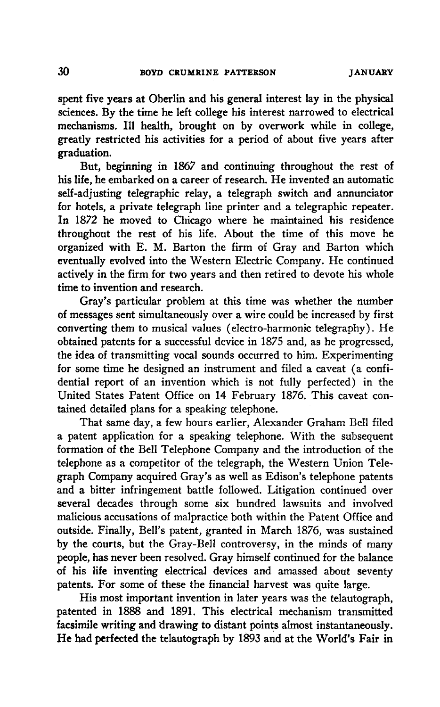spent five years at Oberlin and his general interest lay in the physical sciences. By the time he left college his interest narrowed to electrical mechanisms. Ill health, brought on by overwork while in college, greatly restricted his activities for a period of about five years after graduation.

But, beginning in <sup>1867</sup> and continuing throughout the rest of his life, he embarked on a career of research. He invented an automatic self-adjusting telegraphic relay, a telegraph switch and annunciator for hotels, a private telegraph line printer and a telegraphic repeater. In <sup>1872</sup> he moved to Chicago where he maintained his residence throughout the rest of his life. About the time of this move he organized with E. M. Barton the firm of Gray and Barton which eventually evolved into the Western Electric Company. He continued actively in the firm for two vears and then retired to devote his whole time to invention and research.

Gray's particular problem at this time was whether the number ofmessages sent simultaneously over a wire could be increased by first converting them to musical values (electro-harmonic telegraphy). He obtained patents for a successful device in 1875 and, as he progressed, the idea of transmitting vocal sounds occurred to him. Experimenting for some time he designed an instrument and filed a caveat (a confidential report of an invention which is not fully perfected) in the United States Patent Office on 14 February 1876. This caveat contained detailed plans for a speaking telephone.

That same day, a few hours earlier, Alexander Graham Bell filed a patent application for a speaking telephone. With the subsequent formation of the Bell Telephone Company and the introduction of the telephone as a competitor of the telegraph, the Western Union Telegraph Company acquired Gray's as well as Edison's telephone patents and a bitter infringement battle followed. Litigation continued over several decades through some six hundred lawsuits and involved malicious accusations of malpractice both within the Patent Office and outside. Finally, Bell's patent, granted in March 1876, was sustained by the courts, but the Gray-Bell controversy, in the minds of many people, has never been resolved. Gray himself continued for the balance of his life inventing electrical devices and amassed about seventy patents. For some of these the financial harvest was quite large.

His most important invention in later years was the telautograph. patented in 1888 and 1891. This electrical mechanism transmitted facsimile writing and drawing to distant points almost instantaneously. He had perfected the telautograph by 1893 and at the World's Fair in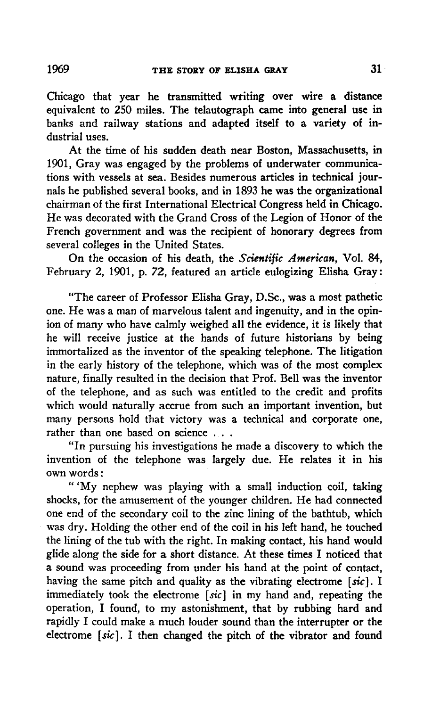Chicago that year he transmitted writing over wire a distance equivalent to 250 miles. The telautograph came into general use in banks and railway stations and adapted itself to a variety of industrial uses.

At the time of his sudden death near Boston, Massachusetts, in 1901, Gray was engaged by the problems of underwater communications with vessels at sea. Besides numerous articles in technical journals he published several books, and in1893 he was the organizational chairman of the first International Electrical Congress held in Chicago. He was decorated with the Grand Cross of the Legion of Honor of the French government and was the recipient of honorary degrees from several colleges in the United States.

On the occasion of his death, the Scientific American, Vol. 84, February 2, 1901, p. 72, featured an article eulogizing Elisha Gray:

"The career of Professor Elisha Gray, D.Sc, was a most pathetic one. He was a man of marvelous talent and ingenuity, and in the opinion of many who have calmly weighed all the evidence, it is likely that he will receive justice at the hands of future historians by being immortalized as the inventor of the speaking telephone. The litigation in the early history of the telephone, which was of the most complex nature, finally resulted in the decision that Prof. Bell was the inventor of the telephone, and as such was entitled to the credit and profits which would naturally accrue from such an important invention, but many persons hold that victory was a technical and corporate one, rather than one based on science . . .

"Inpursuing his investigations he made a discovery to which the invention of the telephone was largely due. He relates it in his nvention of<br>own words :<br>سمینه به ۱۲۰۰

'My nephew was playing with a small induction coil, taking shocks, for the amusement of the younger children. He had connected one end of the secondary coil to the zinc lining of the bathtub, which one end of the secondary coil to the zinc iming of the bathtub, which<br>was dry. Holding the other end of the coil in his left hand, he touched<br>the lining of the tub with the right. In making contact, his hand would<br>glide al the lining of the tub with the right. In making contact, his hand would glide along the side for a short distance. At these times I noticed that a sound was proceeding from under his hand at the point of contact, the minig of the tub with the right. In making contact, his hand would<br>glide along the side for a short distance. At these times I noticed that<br>a sound was proceeding from under his hand at the point of contact,<br>having the inaving the same pitch and quality as the vibrating electrome  $[sic]$ . I<br>immediately took the electrome  $[sic]$  in my hand and, repeating the<br>operation, I found, to my astonishment, that by rubbing hard and<br>rapidly I could ma a sound was proceeding from under ms hand at the point of contact,<br>having the same pitch and quality as the vibrating electrome [sic]. I<br>immediately took the electrome [sic] in my hand and, repeating the<br>operation, I found operation, I found, to my astonishment, that by rubbing hard and rapidly I could make a much louder sound than the interrupter or the electrome  $[sic]$ . I then changed the pitch of the vibrator and found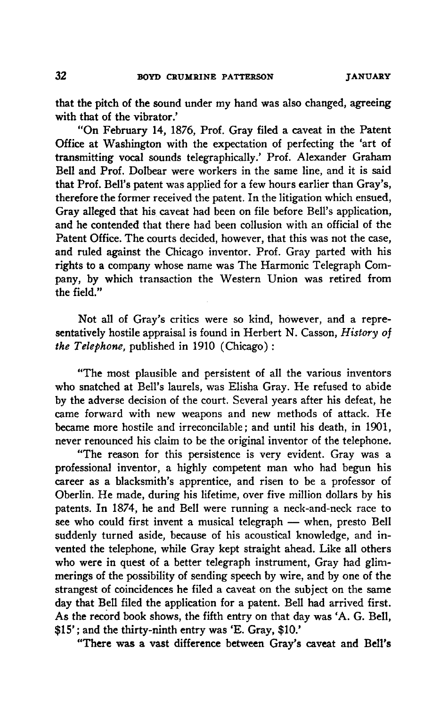that the pitch of the sound under my hand was also changed, agreeing with that of the vibrator.'

"On February 14, 1876, Prof. Gray filed a caveat in the Patent Office at Washington with the expectation of perfecting the 'art of transmitting vocal sounds telegraphically/ Prof. Alexander Graham Bell and Prof. Dolbear were workers in the same line, and it is said that Prof. Bell's patent was applied for a few hours earlier than Gray's, therefore the former received the patent. In the litigation which ensued, Gray alleged that his caveat had been on file before Bell's application, and he contended that there had been collusion with an official of the Patent Office. The courts decided, however, that this was not the case, and ruled against the Chicago inventor. Prof. Gray parted with his rights to a company whose name was The Harmonic Telegraph Company, by which transaction the Western Union was retired from the field."

Not all of Gray's critics were so kind, however, and a representatively hostile appraisal is found in Herbert N. Casson, History of the Telephone, published in <sup>1910</sup> (Chicago) :

"The most plausible and persistent of all the various inventors who snatched at Bell's laurels, was Elisha Gray. He refused to abide by the adverse decision of the court. Several years after his defeat, he came forward with new weapons and new methods of attack. He became more hostile and irreconcilable; and until his death, in 1901, never renounced his claim to be the original inventor of the telephone.

"The reason for this persistence is very evident. Gray was a professional inventor, a highly competent man who had begun his career as a blacksmith's apprentice, and risen to be a professor of Oberlin. He made, during his lifetime, over five million dollars by his patents. In 1874, he and Bell were running a neck-and-neck race to see who could first invent <sup>a</sup> musical telegraph — when, presto Bell suddenly turned aside, because of his acoustical knowledge, and invented the telephone, while Gray kept straight ahead. Like all others who were in quest of a better telegraph instrument, Gray had glimmerings of the possibility of sending speech by wire, and by one of the strangest of coincidences he filed a caveat on the subject on the same day that Bell filed the application for a patent. Bell had arrived first. As the record book shows, the fifth entry on that day was 'A. G. Bell, \$15' ;and the thirty-ninth entry was 'E. Gray, \$10.'

"There was a vast difference between Gray's caveat and Bell's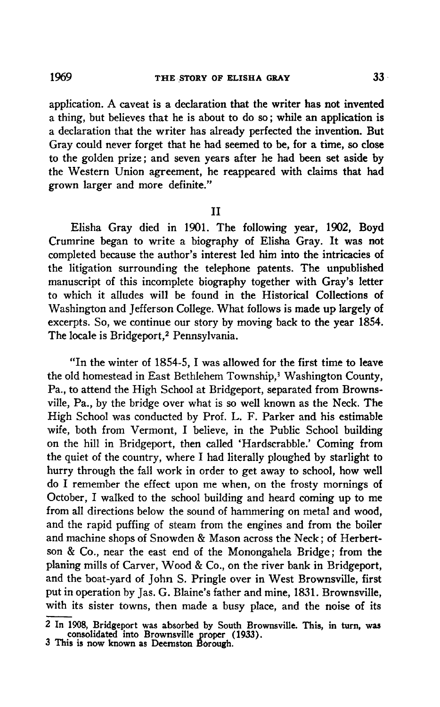application. A caveat is a declaration that the writer has not invented a thing, but believes that he is about to do so; while an application is a declaration that the writer has already perfected the invention. But Gray could never forget that he had seemed to be, for a time, so close to the golden prize; and seven years after he had been set aside by the Western Union agreement, he reappeared with claims that had grown larger and more definite."

II

Elisha Gray died in 1901. The following year, 1902, Boyd Crumrine began to write <sup>a</sup> biography of Elisha Gray. It was not completed because the author's interest led him into the intricacies of the litigation surrounding the telephone patents. The unpublished manuscript of this incomplete biography together with Gray's letter to which it alludes will be found in the Historical Collections of Washington and Jefferson College. What follows is made up largely of excerpts. So, we continue our story by moving back to the year 1854. The locale is Bridgeport,<sup>2</sup> Pennsylvania.

"Inthe winter of 1854-5, 1was allowed for the first time to leave the old homestead in East Bethlehem Township,<sup>3</sup> Washington County, Pa., to attend the High School at Bridgeport, separated from Browns-Fa., to attend the Frigh School at Bridgeport, separated from Browns-<br>ville, Pa., by the bridge over what is so well known as the Neck. The<br>High School was conducted by Prof. L. F. Parker and his estimable<br>wife, both from High School was conducted by Prof. L. F. Parker and his estimable on the hill in Bridgeport, then called 'Hardscrabble.' Coming from wife, both from Vermont, I believe, in the Public School building hurry through the fall work in order to get away to school, how well<br>do I remember the effect upon me when, on the frosty mornings of<br>October, I walked to the school building and heard coming up to me<br>from all directions b the quiet of the country, where I had literally ploughed by starlight to hurry through the fall work in order to get away to school, how well do I remember the effect upon me when, on the frosty mornings of October, I walk from all directions below the sound of hammering on metal and wood, and the rapid puffing of steam from the engines and from the boiler and machine shops of Snowden & Mason across the Neck; of Herbertson & Co., near the east end of the Monongahela Bridge; from the planing mills of Carver, Wood & Co., on the river bank in Bridgeport, and the boat-yard of John S. Pringle over in West Brownsville, first put in operation by Jas. G.Blaine's father and mine, 1831. Brownsville, with its sister towns, then made a busy place, and the noise of its

<sup>2</sup> In 1908, Bridgeport was absorbed by South Brownsville. This, in turn, was consolidated into Brownsville proper (1933). 3 This is now known as Deemston Bbrough.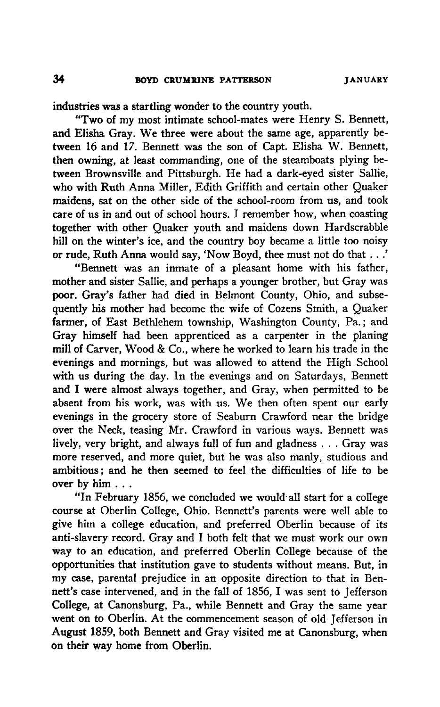industries was a startling wonder to the country youth.

"Two of my most intimate school-mates were Henry S. Bennett, and Elisha Gray. We three were about the same age, apparently between 16 and 17. Bennett was the son of Capt. Elisha W. Bennett, then owning, at least commanding, one of the steamboats plying between Brownsville and Pittsburgh. He had a dark-eyed sister Sallie, who with Ruth Anna Miller, Edith Griffith and certain other Quaker<br>maidens, sat on the other side of the school-room from us, and took<br>care of us in and out of school hours. I remember how, when coasting<br>together with othe maidens, sat on the other side of the school-room from us, and took care of us in and out of school hours. I remember how, when coasting together with other Quaker youth and maidens down Hardscrabble hill on the winter's ice, and the country boy became a little too noisy or rude, Ruth Anna would say, 'Now Boyd, thee must not do that ...'

"Bennett was an inmate of a pleasant home with his father, mother and sister Sallie, and perhaps a younger brother, but Gray was poor. Gray's father had died in Belmont County, Ohio, and subsequently his mother had become the wife of Cozens Smith, a Quaker farmer, of East Bethlehem township, Washington County, Pa.; and Gray himself had been apprenticed as a carpenter in the planing mill of Carver, Wood & Co., where he worked to learn his trade in the evenings and mornings, but was allowed to attend the High School with us during the day. In the evenings and on Saturdays, Bennett and I were almost always together, and Gray, when permitted to be absent from his work, was with us. We then often spent our early evenings in the grocery store of Seaburn Crawford near the bridge over the Neck, teasing Mr.Crawford in various ways. Bennett was lively, very bright, and always full of fun and gladness ... Gray was more reserved, and more quiet, but he was also manly, studious and ambitious; and he then seemed to feel the difficulties of life to be over by him ...

"InFebruary 1856, we concluded we would all start for a college course at Oberlin College, Ohio. Bennett's parents were well able to give him a college education, and preferred Oberlin because of its and Tebruary 1850, we concluded we would an start for a conege<br>course at Oberlin College, Ohio. Bennett's parents were well able to<br>give him a college education, and preferred Oberlin because of its<br>anti-slavery record. Gr way to an education, and preferred Oberlin College because of the opportunities that institution gave to students without means. But, in my case, parental prejudice in an opposite direction to that in Bennett's case intervened, and in the fall of 1856. I was sent to Jefferson way to an education, and preferred Oberin College because of the<br>opportunities that institution gave to students without means. But, ir<br>my case, parental prejudice in an opposite direction to that in Ben-<br>nett's case inter went on to Oberlin. At the commencement season of old Jefferson in August 1859, both Bennett and Gray visited me at Canonsburg, when on their way home from Oberlin.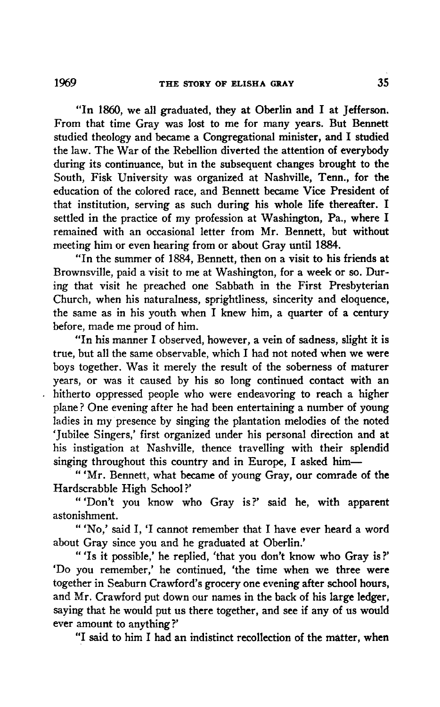THE STORY OF ELISHA GRAY 35<br>
"In 1860, we all graduated, they at Oberlin and I at Jefferson."<br>
From that time Gray was lost to me for many years. But Bennett "In 1860, we all graduated, they at Oberlin and I at Jefferson<br>From that time Gray was lost to me for many years. But Bennett<br>studied theology and became a Congregational minister, and I studied<br>the law. The War of the Reb the law. The War of the Rebellion diverted the attention of everybody during its continuance, but in the subsequent changes brought to the during its continuance, but in the subsequent changes brought to the<br>South, Fisk University was organized at Nashville, Tenn., for the<br>education of the colored race, and Bennett became Vice President of<br>that institution, s education of the colored race, and Bennett became Vice President of that institution, serving as such during his whole life thereafter. I settled in the practice of my profession at Washington, Pa., where I remained with an occasional letter from Mr. Bennett, but without meeting him or even hearing from or about Gray until 1884.

"In the summer of 1884, Bennett, then on a visit to his friends at Brownsville, paid a visit to me at Washington, for a week or so. Dur-Frownsvine, paid a visit to the at washington, for a week of so. During that visit he preached one Sabbath in the First Presbyterian Church, when his naturalness, sprightliness, sincerity and eloquence the same as in his y Church, when his naturalness, sprightliness, sincerity and eloquence, before, made me proud of him. the same as in his youth when I knew him, a quarter of a century<br>before, made me proud of him.<br>"In his manner I observed, however, a vein of sadness, slight it is

true, but all the same observable, which I had not noted when we were boys together. Was it merely the result of the soberness of maturer years, or was it caused by his so long continued contact with an hitherto oppressed people who were endeavoring to reach a higher plane ? One evening after he had been entertaining a number of young ladies in my presence by singing the plantation melodies of the noted Tubilee Singers,' first organized under his personal direction and at list instigation at Nashville, thence travelling with their splendid singing throughout this country and in Europe, I asked him—<br>"'Mr. Bennett, what bec his instigation at Nashville, thence travelling with their splendid singing throughout this country and in Europe. I asked him—

"'Mr. Bennett, what became of young Gray, our comrade of the Hardscrabble High School?'

Trabble Fight School!<br>
'Don't you know who Gray is?' said he, with apparent<br>
hment.<br>
'No,' said I, 'I cannot remember that I have ever heard a word<br>
Gray since you and he graduated at Oberlin.' astonishmen<br>" ^ ^ ^ ^ ^ ^ ^ ^ ^ ^

about Gray since you and he graduated at Oberlin.'

"Is it possible,' he replied, 'that you don't know who Gray is?' 'Do you remember/ he continued, 'the time when we three were together in Seaburn Crawford's grocery one evening after school hours, and Mr. Crawford put down our names in the back of his large ledger. saying that he would put us there together, and see if any of us would ever amount to anything?'

"I said to him I had an indistinct recollection of the matter, when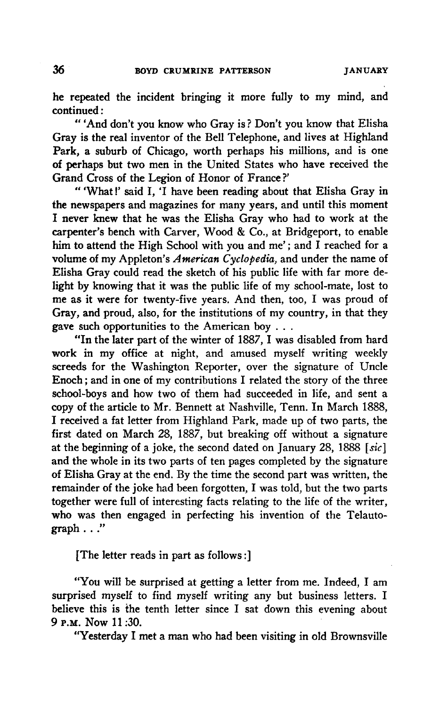he repeated the incident bringing it more fully to my mind, and ne repeated<br>continued :<br>"And

'And don't you know who Gray is ? Don't you know that Elisha Gray is the real inventor of the Bell Telephone, and lives at Highland Park, a suburb of Chicago, worth perhaps his millions, and is one of perhaps but two men in the United States who have received the Grand Cross of the Legion of Honor of France ?' "

'What !'said I,'Ihave been reading about that Elisha Gray in the newspapers and magazines for many years, and until this moment In the was the Elisha Gray in the was the Elisha Gray in the newspapers and magazines for many years, and until this moment I never knew that he was the Elisha Gray who had to work at the carpenter's bench with Carver, Woo carpenter's bench with Carver, Wood & Co., at Bridgeport, to enable<br>him to attend the High School with you and me'; and I reached for a In the newspapers and magazines for many years, and until this moment<br>I never knew that he was the Elisha Gray who had to work at the<br>carpenter's bench with Carver, Wood & Co., at Bridgeport, to enable<br>him to attend the Hi volume of my Appleton's American Cyclopedia, and under the name of Filisha Gray could read the sketch of his public life with far more de-<br>Light by knowing that it was the public life of my school-mate, lost to<br>me as it were for twenty-five years. And then, too, I was proud of<br>Gray, and p light by knowing that it was the public life of my school-mate, lost to me as it were for twenty-five years. And then, too, I was proud of Gray, and proud, also, for the institutions of my country, in that they gave such opportunities to the American boy ...

"In the later part of the winter of 1887, I was disabled from hard work in my office at night, and amused myself writing weekly screeds for the Washington Reporter, over the signature of Uncle In the later part of the winter of 1667, I was disabled from flare<br>work in my office at night, and amused myself writing weekly<br>screeds for the Washington Reporter, over the signature of Uncle<br>Enoch; and in one of my contr school-boys and how two of them had succeeded in life, and sent a copy of the article to Mr. Bennett at Nashville, Tenn. In March 1888, I received a fat letter from Highland Park, made up of two parts, the Enoch, and in one of my contributions I related the story of the times<br>school-boys and how two of them had succeeded in life, and sent a<br>copy of the article to Mr. Bennett at Nashville, Tenn. In March 1888,<br>I received a fa at the beginning of a joke, the second dated on January 28, 1888  $[sic]$ and the whole in its two parts of ten pages completed by the signature of Elisha Gray at the end. By the time the second part was written, the remainder of the joke had been forgotten, I was told, but the two parts and the whole in its two parts of ten pages completed by the signature of Elisha Gray at the end. By the time the second part was written, the remainder of the joke had been forgotten, I was told, but the two parts togethe who was then engaged in perfecting his invention of the Telautograph ..."

[The letter reads in part as follows :]

[The letter reads in part as follows:]<br>"You will be surprised at getting a letter from me. Indeed, I am<br>rised myself to find myself writing any but business letters. I I The letter reads in part as follows:<br>
"You will be surprised at getting a letter from me. Indeed, I am<br>
surprised myself to find myself writing any but business letters. I<br>
believe this is the tenth letter since I sat do "You will be surprised at getting a letter from me. Indeed, I an surprised myself to find myself writing any but business letters. I believe this is the tenth letter since I sat down this evening about 9 **P.M.** Now 11:30. 9 P.M. Now 11:30.<br>"Yesterday I met a man who had been visiting in old Brownsville" believe this is the tenth letter since I sat down this evening about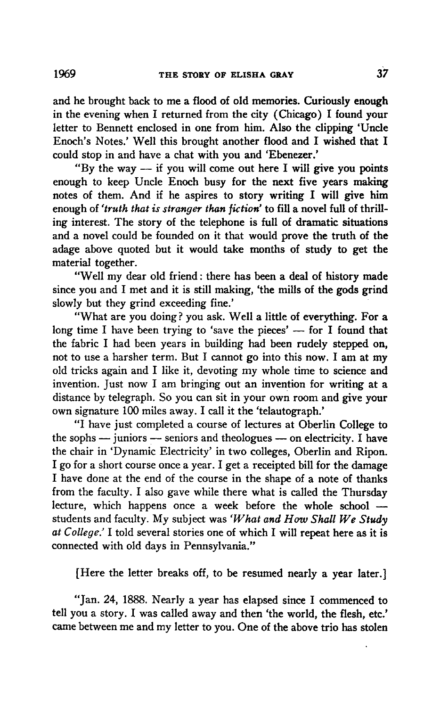and he brought back to me a flood of old memories. Curiously enough in the evening when I returned from the city (Chicago) I found your letter to Bennett enclosed in one from him. Also the clipping 'Uncle and he brought back to me a nood of old memories. Curiously enough<br>in the evening when I returned from the city (Chicago) I found your<br>letter to Bennett enclosed in one from him. Also the clipping 'Uncle<br>Enoch's Notes.' We could stop in and have a chat with you and 'Ebenezer.'<br>"By the way — if you will come out here I will give you points "The way — if you will come out here I will give you points<br>"By the way — if you will come out here I will give you points<br>"By the way — if you will come out here I will give you points<br>"By the way — if you will come out h

enough to keep Uncle Enoch busy for the next five years making From the means of them. And if he aspires to story writing I will give you points<br>enough to keep Uncle Enoch busy for the next five years making<br>notes of them. And if he aspires to story writing I will give him<br>enough of enough of 'truth that is stranger than fiction' to fill a novel full of thrilling interest. The story of the telephone is full of dramatic situations and a novel could be founded on it that would prove the truth of the adage above quoted but it would take months of study to get the material together.

rial together.<br>"Well my dear old friend : there has been a deal of history <mark>mad</mark>e since you and I met and it would take months of study to get the<br>material together.<br>since you and I met and it is still making, 'the mills of the gods grind<br>slowly but they grind exceeding fine.' slowly but they grind exceeding fine.'

"What are you doing ? you ask. Well a little of everything. For a since you and I met and it is still making, the mills of the gods grind<br>slowly but they grind exceeding fine.'<br>"What are you doing? you ask. Well a little of everything. For a<br>long time I have been trying to 'save the piec slowly but they gind exceeding line.<br>
"What are you doing? you ask. Well a little of everything. For a<br>
long time I have been trying to 'save the pieces' — for I found that<br>
the fabric I had been years in building had been what are you doing: you ask. Wen a little of everything. For a<br>long time I have been trying to 'save the pieces' — for I found that<br>the fabric I had been years in building had been rudely stepped on,<br>not to use a harsher t the fabric I had been years in building had been rudely stepped on, not to use a harsher term. But I cannot go into this now. I am at my old tricks again and I like it, devoting my whole time to science and invention. Just not to use a harsher term. But I cannot go into this now. I am at my distance by telegraph. So you can sit in your own room and give your old tricks again and 1 nke it, devoting hiy whole time<br>invention. Just now I am bringing out an invention fo<br>distance by telegraph. So you can sit in your own room<br>own signature 100 miles away. I call it the 'telautograph<br> own signature 100 miles away. I call it the 'telautograph.'<br>"I have just completed a course of lectures at Oberlin College to

the sophs — juniors — seniors and theologues — on electricity. I have the chair in 'Dynamic Electricity' in two colleges, Oberlin and Ripon. I have just completed a course of lectures at Oberhit Conege to<br>the sophs — juniors — seniors and theologues — on electricity. I have<br>the chair in 'Dynamic Electricity' in two colleges, Oberlin and Ripon<br>I go for a short c Ihe sophs — juniors — seniors and theologues — on electricity. I have<br>the chair in 'Dynamic Electricity' in two colleges, Oberlin and Ripon<br>I go for a short course once a year. I get a receipted bill for the damage<br>I have If go for a short course once a year. I get a receipted bill for the damage<br>I have done at the end of the course in the shape of a note of thanks<br>from the faculty. I also gave while there what is called the Thursday<br>lectur from the faculty. I also gave while there what is called the Thursday lecture, which happens once a week before the whole school students and faculty. My subject was ' $W$ hat and  $H$ ow Shall  $We$  Study at College.' I also gave will entire what is called the Thursday<br>lecture, which happens once a week before the whole school —<br>students and faculty. My subject was 'What and How Shall We Study<br>at College.' I told several st connected with old days in Pennsylvania."

[Here the letter breaks off, to be resumed nearly a year later.]

[Here the letter breaks off, to be resumed nearly a year later.]<br>"Jan. 24, 1888. Nearly a year has elapsed since I commenced to<br>ou a story. I was called away and then 'the world, the flesh, etc.' There the letter breaks off, to be resulted hearly a year later.<br>
"Jan. 24, 1888. Nearly a year has elapsed since I commenced to<br>
tell you a story. I was called away and then 'the world, the flesh, etc.<br>
came between me an came between me and my letter to you. One of the above trio has stolen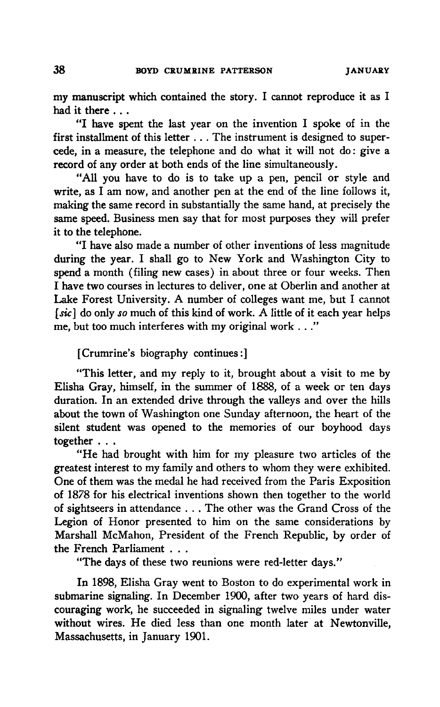my manuscript which contained the story. I cannot reproduce it as I had it there ...<br>"I have spent the last year on the invention I spoke of in the

my manuscript which contained the story. I cannot reproduce it as I<br>had it there ...<br>"I have spent the last year on the invention I spoke of in the<br>first installment of this letter ... The instrument is designed to supercede, in a measure, the telephone and do what it will not do: give a record of any order at both ends of the line simultaneously.

"All you have to do is to take up a pen, pencil or style and example and do what it will not do. give a<br>record of any order at both ends of the line simultaneously.<br>"All you have to do is to take up a pen, pencil or style and<br>write, as I am now, and another pen at the end of the lin making the same record in substantially the same hand, at precisely the same speed. Business men say that for most purposes they will prefer it to the telephone.

"Ihave also made <sup>a</sup> number of other inventions of less magnitude is to the telephone.<br>it to the telephone.<br>"I have also made a number of other inventions of less magnitude<br>during the year. I shall go to New York and Washington City to<br>spend a month (filing new cases) in about three or f spend a month (filing new cases) in about three or four weeks. Then<br>I have two courses in lectures to deliver, one at Oberlin and another at<br>Lake Forest University. A number of colleges want me, but I cannot<br>[sic] do only I have also made a number of other inventions of less magnitude<br>during the year. I shall go to New York and Washington City to<br>spend a month (filing new cases) in about three or four weeks. Then<br>I have two courses in lectu Lake Forest University. A number of colleges want me, but I cannot  $[sic]$  do only so much of this kind of work. A little of it each year helps me, but too much interferes with my original work  $\dots$ ."

[Crumrine's biography continues:]

"This letter, and my reply to it, brought about a visit to me by Elisha Gray, himself, in the summer of 1888, of a week or ten days duration. In an extended drive through the valleys and over the hills about the town of Washington one Sunday afternoon, the heart of the silent student was opened to the memories of our boyhood days together ...

"He had brought with him for my pleasure two articles of the greatest interest to my family and others to whom they were exhibited. One of them was the medal he had received from the Paris Exposition of 1878 for his electrical inventions shown then together to the world of sightseers in attendance . . . The other was the Grand Cross of the Legion of Honor presented to him on the same considerations by Marshall McMahon, President of the French Republic, by order of the French Parliament ...

"The days of these two reunions were red-letter days."

In 1898, Elisha Gray went to Boston to do experimental work in submarine signaling. In December 1900, after two years of hard discouraging work, he succeeded in signaling twelve miles under water without wires. He died less than one month later at Newtonville, Massachusetts, in January 1901.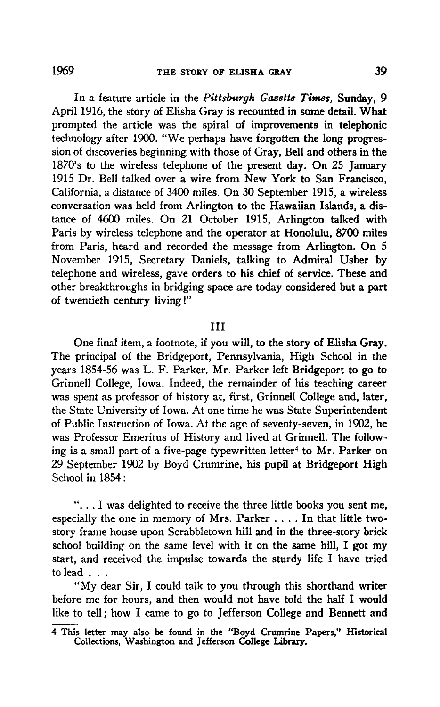In a feature article in the Pittsburgh Gazette Times, Sunday, 9 April 1916, the story of Elisha Gray is recounted in some detail. What prompted the article was the spiral of improvements in telephonic technology after 1900. "We perhaps have forgotten the long progression of discoveries beginning with those of Gray, Belland others in the 1870's to the wireless telephone of the present day. On 25 January 1915 Dr. Bell talked over a wire from New York to San Francisco, California, a distance of 3400 miles. On 30 September 1915, a wireless conversation was held from Arlington to the Hawaiian Islands, a distance of 4600 miles. On 21 October 1915, Arlington talked with Paris by wireless telephone and the operator at Honolulu, 8700 miles from Paris, heard and recorded the message from Arlington. On 5 November 1915, Secretary Daniels, talking to Admiral Usher by telephone and wireless, gave orders to his chief of service. These and other breakthroughs in bridging space are today considered but a part of twentieth century living!"

## Ill

One final item, a footnote, if you will, to the story of Elisha Gray. The principal of the Bridgeport, Pennsylvania, High School in the years 1854-56 was L. F. Parker. Mr. Parker left Bridgeport to go to Grinnell College, Iowa. Indeed, the remainder of his teaching career was spent as professor of history at, first, Grinnell College and, later, the State University of Iowa. At one time he was State Superintendent of Public Instruction of Iowa. At the age of seventy-seven, in 1902, he was Professor Emeritus of History and lived at Grinnell. The following is a small part of a five-page typewritten letter<sup>4</sup> to Mr. Parker on 29 September 1902 by Boyd Crumrine, his pupil at Bridgeport High School in <sup>1854</sup> :

Examples to receive the three little books you sent me,<br>School in 1854:<br>"... I was delighted to receive the three little books you sent me,<br>especially the one in memory of Mrs. Parker .... In that little twostory frame house upon Scrabbletown hill and in the three-story brick school building on the same level with it on the same hill, I got my sehecially the one in memory of Mrs. Parker . . . . In that little two-<br>story frame house upon Scrabbletown hill and in the three-story brick<br>school building on the same level with it on the same hill, I got my<br>start, and start, and received the impulse towards the sturdy life I have tried<br>to lead ...<br>through the same level with it on the same hill, I got my<br>start, and received the impulse towards the sturdy life I have tried<br>to lead ... to lead . . .<br>"My dear Sir, I could talk to you through this shorthand writer In building on the same lever with it on the same hin, I got hiy<br>and received the impulse towards the sturdy life I have tried<br>"My dear Sir, I could talk to you through this shorthand writer<br>e me for hours, and then would

before me for hours, and then would not have the start, and received the impuse towards the start of hours, then would the half I would like to tell; how I came to go to Iefferson College and Bennett and like to tell; how I could talk to you through this shorthand writer<br>before me for hours, and then would not have told the half I would<br>like to tell; how I came to go to Jefferson College and Bennett and

<sup>4</sup> This letter may also be found in the "Boyd Crumrine Papers," Historical Collections, Washington and Jefferson College Library.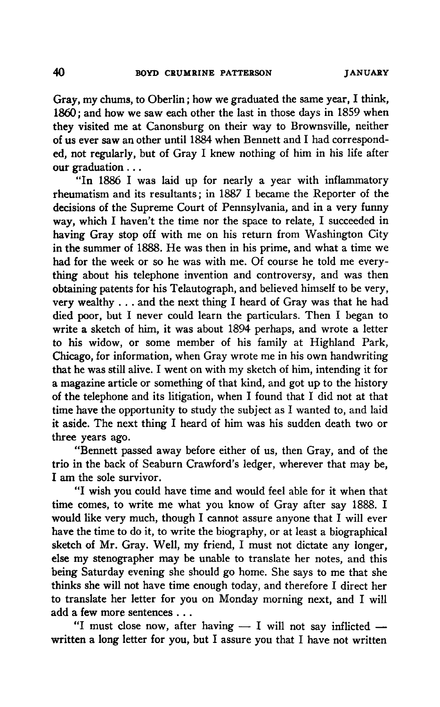Here of the same year, I think, 1860; and how we saw each other the last in those days in 1859 when they visited me at Canonsburg on their way to Brownsville, neither of us ever saw an other until 1884 when Bennett and I h Tood; and now we saw each other the last in those days in 1659 when<br>they visited me at Canonsburg on their way to Brownsville, neither<br>of us ever saw an other until 1884 when Bennett and I had correspond-<br>ed, not regularly our graduation ...<br>"In 1886 I was laid up for nearly a year with inflammatory" of us ever saw an other until 1884 when Bennett and I had corresponded, not regularly, but of Gray I knew nothing of him in his life after our graduation ...<br>"In 1886 I was laid up for nearly a year with inflammatory rheum

ed, not regularly, but of Gray I Knew hothing of finit in its fite anter<br>our graduation...<br>"In 1886 I was laid up for nearly a year with inflammatory<br>rheumatism and its resultants; in 1887 I became the Reporter of the<br>deci In 1880 I was laid up for hearly a year with inhamilatory<br>rheumatism and its resultants; in 1887 I became the Reporter of the<br>decisions of the Supreme Court of Pennsylvania, and in a very funny<br>way, which I haven't the tim inthe summer of 1888. He was then in his prime, and what a time we had for the week or so he was with me. Of course he told me everything about his telephone invention and controversy, and was then obtaining patents for his Telautograph, and believed himself to be very, very wealthy . . . and the next thing I heard of Gray was that he had very thing about his telephone invention and controversy, and was then<br>obtaining patents for his Telautograph, and believed himself to be very,<br>very wealthy ... and the next thing I heard of Gray was that he had<br>died poor, diating about ins telephone invention and confloversy, and was then<br>obtaining patents for his Telautograph, and believed himself to be very,<br>very wealthy ... and the next thing I heard of Gray was that he had<br>died poor, bu write <sup>a</sup> sketch of him, itwas about <sup>1894</sup> perhaps, and wrote <sup>a</sup> letter Whe a sketch of hint, it was about 1034 perhaps, and wrote a letter<br>to his widow, or some member of his family at Highland Park,<br>Chicago, for information, when Gray wrote me in his own handwriting<br>that he was still alive. Chicago, for information, when Gray wrote me in his own handwriting that he was still alive. I went on with hiy sketch of him, intending it for<br>a magazine article or something of that kind, and got up to the history<br>of the telephone and its litigation, when I found that I did not at that<br>t that he was still alive. I went on with my sketch of him, intending it for<br>a magazine article or something of that kind, and got up to the history<br>of the telephone and its litigation, when I found that I did not at that<br>ti of the telephone and its litigation, when I found that I did not at that<br>time have the opportunity to study the subject as I wanted to, and laid<br>it aside. The next thing I heard of him was his sudden death two or three years ago.

"Bennett passed away before either of us, then Gray, and of the trio inthe back of Seaburn Crawford's ledger, wherever that may be, Invee years ago.<br>
"Bennett passed a<br>
trio in the back of Seal<br>
I am the sole survivor.<br>
"I wish you could I am the sole survivor.<br>"I wish you could have time and would feel able for it when that

time comes, to write me what you know of Gray after say 1888. I would like very much, though I cannot assure anyone that I will ever If all the sole survivor.<br>
"I wish you could have time and would feel able for it when that<br>
time comes, to write me what you know of Gray after say 1888. I<br>
would like very much, though I cannot assure anyone that I will sketch of Mr. Gray. Well, my friend, I must not dictate any look. I<br>sketch of Mr. Gray. Well, my friend, I must not dictate any longer,<br>else my stenographer may be unable to translate her notes, and this else my stenographer may be unable to translate her notes, and this being Saturday evening she should go home. She says to me that she thinks she will not have time enough today, and therefore I direct her else my stenographer may be unable to translate her notes, and this<br>being Saturday evening she should go home. She says to me that she<br>thinks she will not have time enough today, and therefore I direct her<br>to translate her the single and the unable to translate her notes, and this<br>being Saturday evening she should go home. She says to me that she<br>thinks she will not have time enough today, and therefore I direct her<br>to translate her letter f add a few more sentences . . .<br>
"I must close now, after having  $-$  I will not say inflicted  $$ the translate her letter for you on Monday morning next, and I will<br>add a few more sentences ...<br>"I must close now, after having — I will not say inflicted —<br>written a long letter for you, but I assure you that I have not